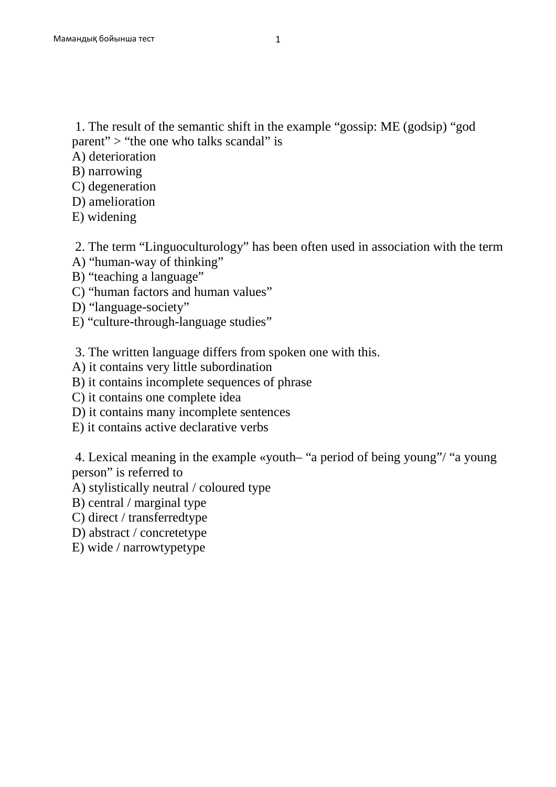1. The result of the semantic shift in the example "gossip: ME (godsip) "god parent" > "the one who talks scandal" is

- A) deterioration
- B) narrowing
- C) degeneration
- D) amelioration
- E) widening

2. The term "Linguoculturology" has been often used in association with the term

- A) "human-way of thinking"
- B) "teaching a language"
- C) "human factors and human values"
- D) "language-society"
- E) "culture-through-language studies"

3. The written language differs from spoken one with this.

- A) it contains very little subordination
- B) it contains incomplete sequences of phrase
- C) it contains one complete idea
- D) it contains many incomplete sentences
- E) it contains active declarative verbs

 4. Lexical meaning in the example «youth– "a period of being young"/ "a young person" is referred to

A) stylistically neutral / coloured type

- B) central / marginal type
- C) direct / transferredtype
- D) abstract / concretetype
- E) wide / narrowtypetype